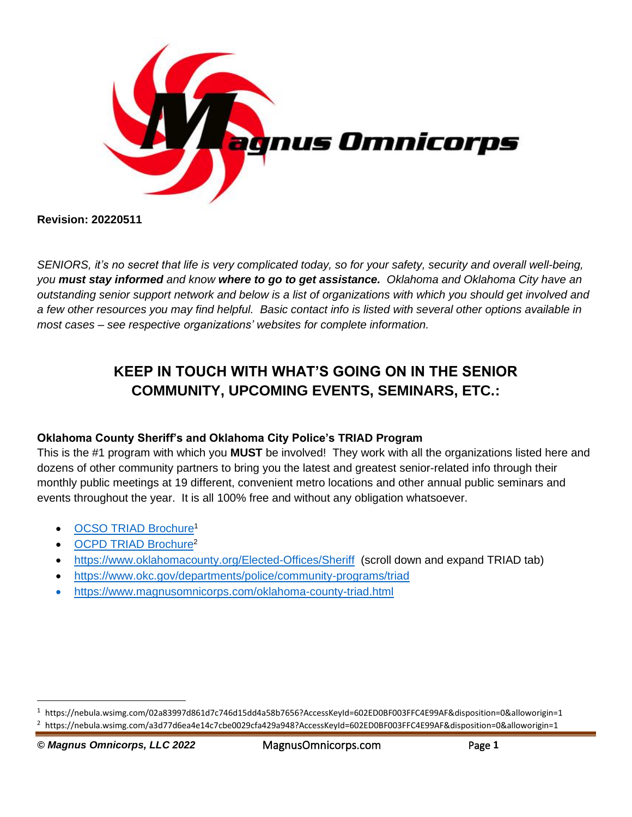

**Revision: 20220511**

*SENIORS, it's no secret that life is very complicated today, so for your safety, security and overall well-being, you must stay informed and know where to go to get assistance. Oklahoma and Oklahoma City have an outstanding senior support network and below is a list of organizations with which you should get involved and a few other resources you may find helpful. Basic contact info is listed with several other options available in most cases – see respective organizations' websites for complete information.*

# **KEEP IN TOUCH WITH WHAT'S GOING ON IN THE SENIOR COMMUNITY, UPCOMING EVENTS, SEMINARS, ETC.:**

## **Oklahoma County Sheriff's and Oklahoma City Police's TRIAD Program**

This is the #1 program with which you **MUST** be involved! They work with all the organizations listed here and dozens of other community partners to bring you the latest and greatest senior-related info through their monthly public meetings at 19 different, convenient metro locations and other annual public seminars and events throughout the year. It is all 100% free and without any obligation whatsoever.

- [OCSO TRIAD Brochure](https://nebula.wsimg.com/02a83997d861d7c746d15dd4a58b7656?AccessKeyId=602ED0BF003FFC4E99AF&disposition=0&alloworigin=1)<sup>1</sup>
- [OCPD TRIAD Brochure](https://nebula.wsimg.com/a3d77d6ea4e14c7cbe0029cfa429a948?AccessKeyId=602ED0BF003FFC4E99AF&disposition=0&alloworigin=1)<sup>2</sup>
- <https://www.oklahomacounty.org/Elected-Offices/Sheriff>(scroll down and expand TRIAD tab)
- <https://www.okc.gov/departments/police/community-programs/triad>
- <https://www.magnusomnicorps.com/oklahoma-county-triad.html>

<sup>1</sup> https://nebula.wsimg.com/02a83997d861d7c746d15dd4a58b7656?AccessKeyId=602ED0BF003FFC4E99AF&disposition=0&alloworigin=1

<sup>2</sup> https://nebula.wsimg.com/a3d77d6ea4e14c7cbe0029cfa429a948?AccessKeyId=602ED0BF003FFC4E99AF&disposition=0&alloworigin=1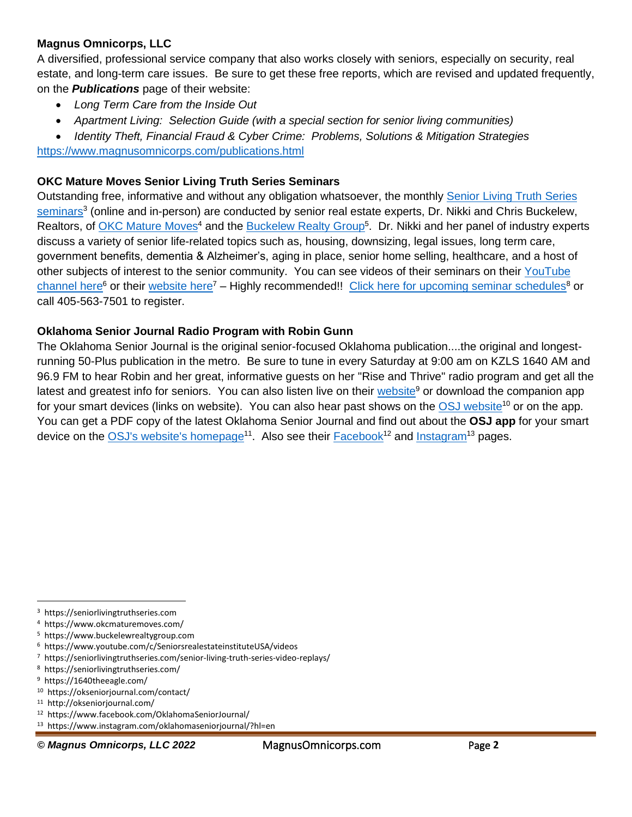## **Magnus Omnicorps, LLC**

A diversified, professional service company that also works closely with seniors, especially on security, real estate, and long-term care issues. Be sure to get these free reports, which are revised and updated frequently, on the *Publications* page of their website:

- *Long Term Care from the Inside Out*
- *Apartment Living: Selection Guide (with a special section for senior living communities)*
- *Identity Theft, Financial Fraud & Cyber Crime: Problems, Solutions & Mitigation Strategies*

<https://www.magnusomnicorps.com/publications.html>

## **OKC Mature Moves Senior Living Truth Series Seminars**

Outstanding free, informative and without any obligation whatsoever, the monthly [Senior Living Truth Series](https://seniorlivingtruthseries.com/)  [seminars](https://seniorlivingtruthseries.com/)<sup>3</sup> (online and in-person) are conducted by senior real estate experts, Dr. Nikki and Chris Buckelew, Realtors, of [OKC Mature Moves](https://www.okcmaturemoves.com/)<sup>4</sup> and the [Buckelew Realty Group](https://www.buckelewrealtygroup.com/)<sup>5</sup>. Dr. Nikki and her panel of industry experts discuss a variety of senior life-related topics such as, housing, downsizing, legal issues, long term care, government benefits, dementia & Alzheimer's, aging in place, senior home selling, healthcare, and a host of other subjects of interest to the senior community. You can see videos of their seminars on their [YouTube](https://www.youtube.com/c/SeniorsrealestateinstituteUSA/videos)  [channel here](https://www.youtube.com/c/SeniorsrealestateinstituteUSA/videos)<sup>6</sup> or their [website here](https://seniorlivingtruthseries.com/senior-living-truth-series-video-replays/)<sup>7</sup> – Highly recommended!! [Click here for upcoming seminar schedules](https://seniorlivingtruthseries.com/)<sup>8</sup> or call 405-563-7501 to register.

## **Oklahoma Senior Journal Radio Program with Robin Gunn**

The Oklahoma Senior Journal is the original senior-focused Oklahoma publication....the original and longestrunning 50-Plus publication in the metro. Be sure to tune in every Saturday at 9:00 am on KZLS 1640 AM and 96.9 FM to hear Robin and her great, informative guests on her "Rise and Thrive" radio program and get all the latest and greatest info for seniors. You can also listen live on their [website](https://1640theeagle.com/)<sup>9</sup> or download the companion app for your smart devices (links on website). You can also hear past shows on the [OSJ website](https://okseniorjournal.com/contact/)<sup>10</sup> or on the app. You can get a PDF copy of the latest Oklahoma Senior Journal and find out about the **OSJ app** for your smart device on the [OSJ's website's homepage](http://okseniorjournal.com/)<sup>11</sup>. Also see their **[Facebook](https://www.facebook.com/OklahomaSeniorJournal/)<sup>12</sup> and [Instagram](https://www.instagram.com/oklahomaseniorjournal/?hl=en)<sup>13</sup> pages**.

*© Magnus Omnicorps, LLC 2022* MagnusOmnicorps.com Page **2**

<sup>3</sup> https://seniorlivingtruthseries.com

<sup>4</sup> https://www.okcmaturemoves.com/

<sup>5</sup> https://www.buckelewrealtygroup.com

<sup>6</sup> https://www.youtube.com/c/SeniorsrealestateinstituteUSA/videos

<sup>7</sup> https://seniorlivingtruthseries.com/senior-living-truth-series-video-replays/

<sup>8</sup> https://seniorlivingtruthseries.com/

<sup>9</sup> https://1640theeagle.com/

<sup>10</sup> https://okseniorjournal.com/contact/

<sup>11</sup> http://okseniorjournal.com/

<sup>12</sup> https://www.facebook.com/OklahomaSeniorJournal/

<sup>13</sup> https://www.instagram.com/oklahomaseniorjournal/?hl=en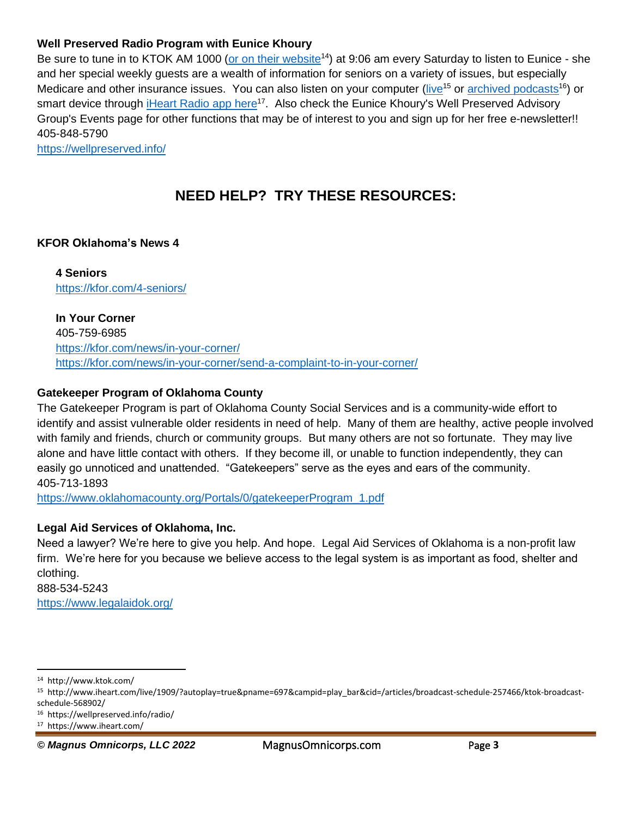## **Well Preserved Radio Program with Eunice Khoury**

Be sure to tune in to KTOK AM 1000 [\(or on their website](http://www.ktok.com/)<sup>14</sup>) at 9:06 am every Saturday to listen to Eunice - she and her special weekly guests are a wealth of information for seniors on a variety of issues, but especially Medicare and other insurance issues. You can also listen on your computer [\(live](http://www.iheart.com/live/1909/?autoplay=true&pname=697&campid=play_bar&cid=/articles/broadcast-schedule-257466/ktok-broadcast-schedule-568902/)<sup>15</sup> or [archived podcasts](https://wellpreserved.info/radio/)<sup>16</sup>) or smart device through *[iHeart Radio app here](https://www.iheart.com/)<sup>17</sup>.* Also check the Eunice Khoury's Well Preserved Advisory Group's Events page for other functions that may be of interest to you and sign up for her free e-newsletter!! 405-848-5790

<https://wellpreserved.info/>

## **NEED HELP? TRY THESE RESOURCES:**

#### **KFOR Oklahoma's News 4**

**4 Seniors** <https://kfor.com/4-seniors/>

**In Your Corner** 405-759-6985 <https://kfor.com/news/in-your-corner/> <https://kfor.com/news/in-your-corner/send-a-complaint-to-in-your-corner/>

#### **Gatekeeper Program of Oklahoma County**

The Gatekeeper Program is part of Oklahoma County Social Services and is a community-wide effort to identify and assist vulnerable older residents in need of help. Many of them are healthy, active people involved with family and friends, church or community groups. But many others are not so fortunate. They may live alone and have little contact with others. If they become ill, or unable to function independently, they can easily go unnoticed and unattended. "Gatekeepers" serve as the eyes and ears of the community. 405-713-1893

[https://www.oklahomacounty.org/Portals/0/gatekeeperProgram\\_1.pdf](https://www.oklahomacounty.org/Portals/0/gatekeeperProgram_1.pdf)

#### **Legal Aid Services of Oklahoma, Inc.**

Need a lawyer? We're here to give you help. And hope. Legal Aid Services of Oklahoma is a non-profit law firm. We're here for you because we believe access to the legal system is as important as food, shelter and clothing.

888-534-5243 <https://www.legalaidok.org/>

16 https://wellpreserved.info/radio/

*© Magnus Omnicorps, LLC 2022* MagnusOmnicorps.com Page **3**

<sup>14</sup> http://www.ktok.com/

<sup>15</sup> http://www.iheart.com/live/1909/?autoplay=true&pname=697&campid=play\_bar&cid=/articles/broadcast-schedule-257466/ktok-broadcastschedule-568902/

<sup>17</sup> https://www.iheart.com/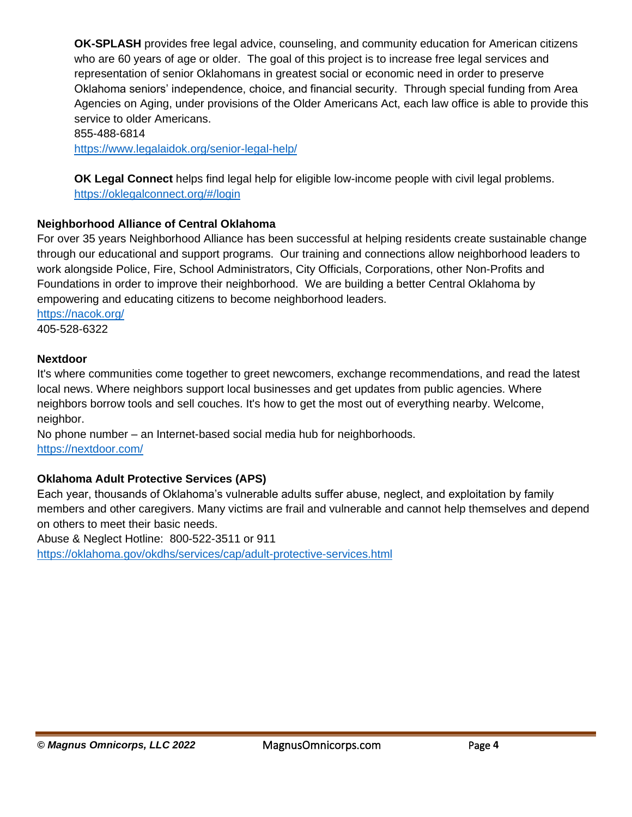**OK-SPLASH** provides free legal advice, counseling, and community education for American citizens who are 60 years of age or older. The goal of this project is to increase free legal services and representation of senior Oklahomans in greatest social or economic need in order to preserve Oklahoma seniors' independence, choice, and financial security. Through special funding from Area Agencies on Aging, under provisions of the Older Americans Act, each law office is able to provide this service to older Americans.

855-488-6814

<https://www.legalaidok.org/senior-legal-help/>

**OK Legal Connect** helps find legal help for eligible low-income people with civil legal problems. <https://oklegalconnect.org/#/login>

## **Neighborhood Alliance of Central Oklahoma**

For over 35 years Neighborhood Alliance has been successful at helping residents create sustainable change through our educational and support programs. Our training and connections allow neighborhood leaders to work alongside Police, Fire, School Administrators, City Officials, Corporations, other Non-Profits and Foundations in order to improve their neighborhood. We are building a better Central Oklahoma by empowering and educating citizens to become neighborhood leaders.

<https://nacok.org/> 405-528-6322

#### **Nextdoor**

It's where communities come together to greet newcomers, exchange recommendations, and read the latest local news. Where neighbors support local businesses and get updates from public agencies. Where neighbors borrow tools and sell couches. It's how to get the most out of everything nearby. Welcome, neighbor.

No phone number – an Internet-based social media hub for neighborhoods. <https://nextdoor.com/>

## **Oklahoma Adult Protective Services (APS)**

Each year, thousands of Oklahoma's vulnerable adults suffer abuse, neglect, and exploitation by family members and other caregivers. Many victims are frail and vulnerable and cannot help themselves and depend on others to meet their basic needs.

Abuse & Neglect Hotline: 800-522-3511 or 911 <https://oklahoma.gov/okdhs/services/cap/adult-protective-services.html>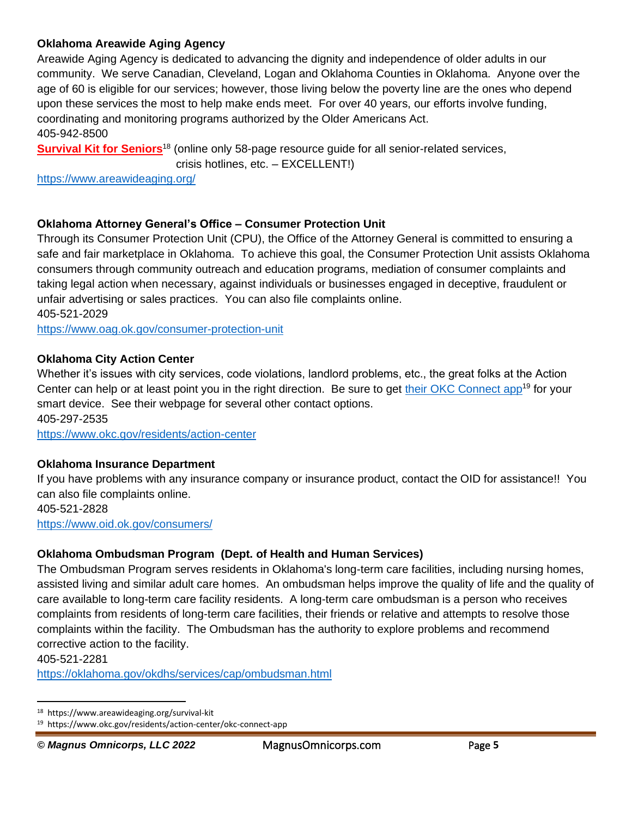## **Oklahoma Areawide Aging Agency**

Areawide Aging Agency is dedicated to advancing the dignity and independence of older adults in our community. We serve Canadian, Cleveland, Logan and Oklahoma Counties in Oklahoma. Anyone over the age of 60 is eligible for our services; however, those living below the poverty line are the ones who depend upon these services the most to help make ends meet. For over 40 years, our efforts involve funding, coordinating and monitoring programs authorized by the Older Americans Act. 405-942-8500

**[Survival Kit for Seniors](https://www.areawideaging.org/survival-kit)**<sup>18</sup> (online only 58-page resource guide for all senior-related services,

crisis hotlines, etc. – EXCELLENT!)

<https://www.areawideaging.org/>

## **Oklahoma Attorney General's Office – Consumer Protection Unit**

Through its Consumer Protection Unit (CPU), the Office of the Attorney General is committed to ensuring a safe and fair marketplace in Oklahoma. To achieve this goal, the Consumer Protection Unit assists Oklahoma consumers through community outreach and education programs, mediation of consumer complaints and taking legal action when necessary, against individuals or businesses engaged in deceptive, fraudulent or unfair advertising or sales practices. You can also file complaints online. 405-521-2029

<https://www.oag.ok.gov/consumer-protection-unit>

## **Oklahoma City Action Center**

Whether it's issues with city services, code violations, landlord problems, etc., the great folks at the Action Center can help or at least point you in the right direction. Be sure to get [their OKC Connect](https://www.okc.gov/residents/action-center/okc-connect-app) app<sup>19</sup> for your smart device. See their webpage for several other contact options. 405-297-2535

<https://www.okc.gov/residents/action-center>

## **Oklahoma Insurance Department**

If you have problems with any insurance company or insurance product, contact the OID for assistance!! You can also file complaints online. 405-521-2828

<https://www.oid.ok.gov/consumers/>

## **Oklahoma Ombudsman Program (Dept. of Health and Human Services)**

The Ombudsman Program serves residents in Oklahoma's long-term care facilities, including nursing homes, assisted living and similar adult care homes. An ombudsman helps improve the quality of life and the quality of care available to long-term care facility residents. A long-term care ombudsman is a person who receives complaints from residents of long-term care facilities, their friends or relative and attempts to resolve those complaints within the facility. The Ombudsman has the authority to explore problems and recommend corrective action to the facility.

405-521-2281

<https://oklahoma.gov/okdhs/services/cap/ombudsman.html>

<sup>18</sup> https://www.areawideaging.org/survival-kit

<sup>19</sup> https://www.okc.gov/residents/action-center/okc-connect-app